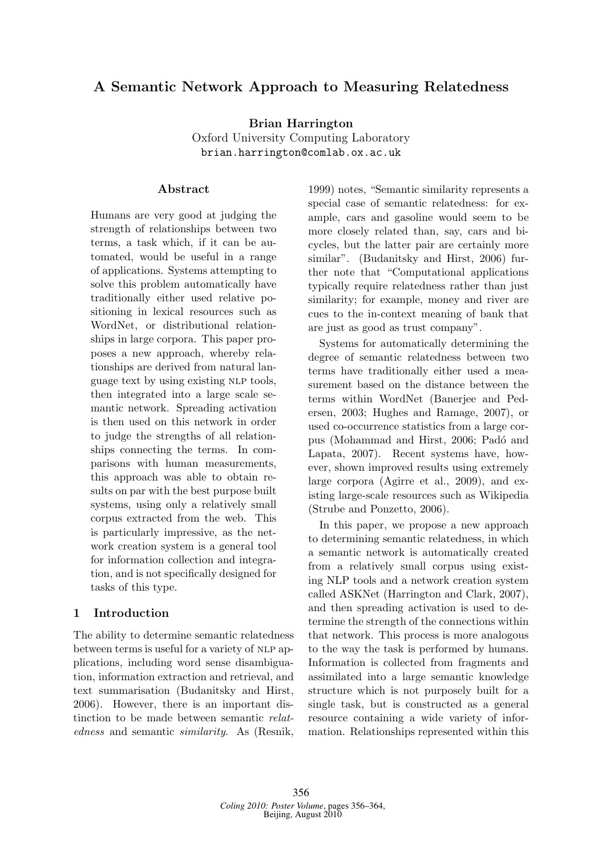# A Semantic Network Approach to Measuring Relatedness

Brian Harrington Oxford University Computing Laboratory brian.harrington@comlab.ox.ac.uk

### Abstract

Humans are very good at judging the strength of relationships between two terms, a task which, if it can be automated, would be useful in a range of applications. Systems attempting to solve this problem automatically have traditionally either used relative positioning in lexical resources such as WordNet, or distributional relationships in large corpora. This paper proposes a new approach, whereby relationships are derived from natural language text by using existing NLP tools, then integrated into a large scale semantic network. Spreading activation is then used on this network in order to judge the strengths of all relationships connecting the terms. In comparisons with human measurements, this approach was able to obtain results on par with the best purpose built systems, using only a relatively small corpus extracted from the web. This is particularly impressive, as the network creation system is a general tool for information collection and integration, and is not specifically designed for tasks of this type.

### 1 Introduction

The ability to determine semantic relatedness between terms is useful for a variety of NLP applications, including word sense disambiguation, information extraction and retrieval, and text summarisation (Budanitsky and Hirst, 2006). However, there is an important distinction to be made between semantic relatedness and semantic similarity. As (Resnik,

1999) notes, "Semantic similarity represents a special case of semantic relatedness: for example, cars and gasoline would seem to be more closely related than, say, cars and bicycles, but the latter pair are certainly more similar". (Budanitsky and Hirst, 2006) further note that "Computational applications typically require relatedness rather than just similarity; for example, money and river are cues to the in-context meaning of bank that are just as good as trust company".

Systems for automatically determining the degree of semantic relatedness between two terms have traditionally either used a measurement based on the distance between the terms within WordNet (Banerjee and Pedersen, 2003; Hughes and Ramage, 2007), or used co-occurrence statistics from a large corpus (Mohammad and Hirst, 2006; Padó and Lapata, 2007). Recent systems have, however, shown improved results using extremely large corpora (Agirre et al., 2009), and existing large-scale resources such as Wikipedia (Strube and Ponzetto, 2006).

In this paper, we propose a new approach to determining semantic relatedness, in which a semantic network is automatically created from a relatively small corpus using existing NLP tools and a network creation system called ASKNet (Harrington and Clark, 2007), and then spreading activation is used to determine the strength of the connections within that network. This process is more analogous to the way the task is performed by humans. Information is collected from fragments and assimilated into a large semantic knowledge structure which is not purposely built for a single task, but is constructed as a general resource containing a wide variety of information. Relationships represented within this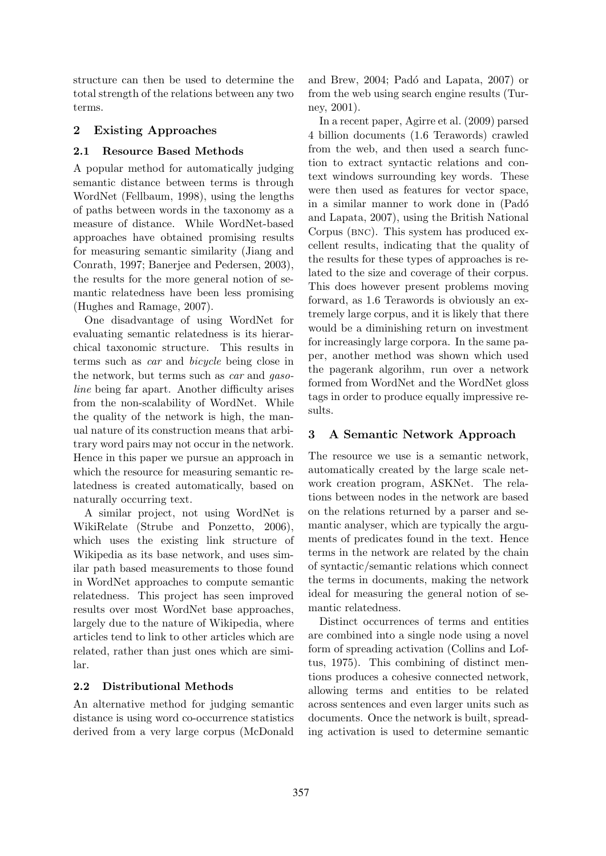structure can then be used to determine the total strength of the relations between any two terms.

### 2 Existing Approaches

### 2.1 Resource Based Methods

A popular method for automatically judging semantic distance between terms is through WordNet (Fellbaum, 1998), using the lengths of paths between words in the taxonomy as a measure of distance. While WordNet-based approaches have obtained promising results for measuring semantic similarity (Jiang and Conrath, 1997; Banerjee and Pedersen, 2003), the results for the more general notion of semantic relatedness have been less promising (Hughes and Ramage, 2007).

One disadvantage of using WordNet for evaluating semantic relatedness is its hierarchical taxonomic structure. This results in terms such as car and bicycle being close in the network, but terms such as car and gasoline being far apart. Another difficulty arises from the non-scalability of WordNet. While the quality of the network is high, the manual nature of its construction means that arbitrary word pairs may not occur in the network. Hence in this paper we pursue an approach in which the resource for measuring semantic relatedness is created automatically, based on naturally occurring text.

A similar project, not using WordNet is WikiRelate (Strube and Ponzetto, 2006), which uses the existing link structure of Wikipedia as its base network, and uses similar path based measurements to those found in WordNet approaches to compute semantic relatedness. This project has seen improved results over most WordNet base approaches, largely due to the nature of Wikipedia, where articles tend to link to other articles which are related, rather than just ones which are similar.

### 2.2 Distributional Methods

An alternative method for judging semantic distance is using word co-occurrence statistics derived from a very large corpus (McDonald

and Brew, 2004; Padó and Lapata, 2007) or from the web using search engine results (Turney, 2001).

In a recent paper, Agirre et al. (2009) parsed 4 billion documents (1.6 Terawords) crawled from the web, and then used a search function to extract syntactic relations and context windows surrounding key words. These were then used as features for vector space, in a similar manner to work done in (Padó and Lapata, 2007), using the British National Corpus (bnc). This system has produced excellent results, indicating that the quality of the results for these types of approaches is related to the size and coverage of their corpus. This does however present problems moving forward, as 1.6 Terawords is obviously an extremely large corpus, and it is likely that there would be a diminishing return on investment for increasingly large corpora. In the same paper, another method was shown which used the pagerank algorihm, run over a network formed from WordNet and the WordNet gloss tags in order to produce equally impressive results.

### 3 A Semantic Network Approach

The resource we use is a semantic network, automatically created by the large scale network creation program, ASKNet. The relations between nodes in the network are based on the relations returned by a parser and semantic analyser, which are typically the arguments of predicates found in the text. Hence terms in the network are related by the chain of syntactic/semantic relations which connect the terms in documents, making the network ideal for measuring the general notion of semantic relatedness.

Distinct occurrences of terms and entities are combined into a single node using a novel form of spreading activation (Collins and Loftus, 1975). This combining of distinct mentions produces a cohesive connected network, allowing terms and entities to be related across sentences and even larger units such as documents. Once the network is built, spreading activation is used to determine semantic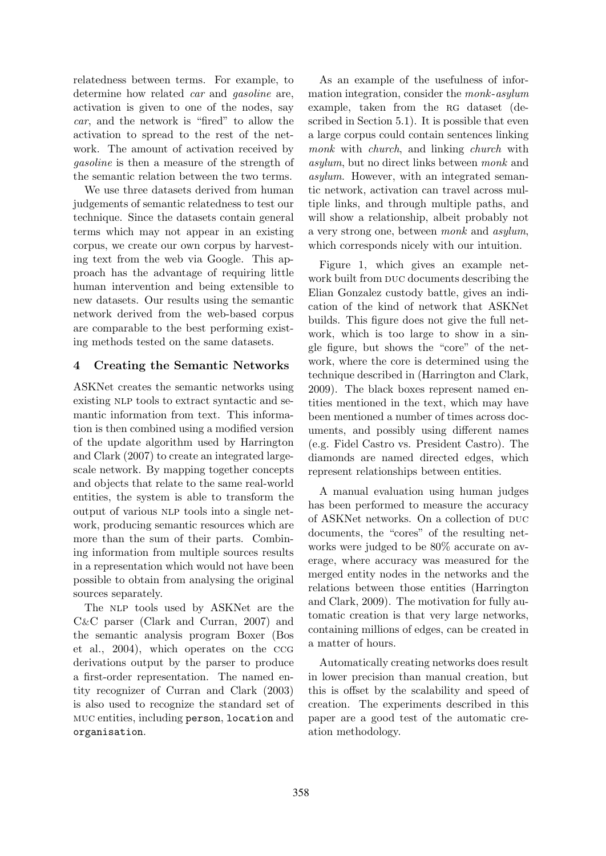relatedness between terms. For example, to determine how related *car* and *gasoline* are, activation is given to one of the nodes, say car, and the network is "fired" to allow the activation to spread to the rest of the network. The amount of activation received by gasoline is then a measure of the strength of the semantic relation between the two terms.

We use three datasets derived from human judgements of semantic relatedness to test our technique. Since the datasets contain general terms which may not appear in an existing corpus, we create our own corpus by harvesting text from the web via Google. This approach has the advantage of requiring little human intervention and being extensible to new datasets. Our results using the semantic network derived from the web-based corpus are comparable to the best performing existing methods tested on the same datasets.

### 4 Creating the Semantic Networks

ASKNet creates the semantic networks using existing NLP tools to extract syntactic and semantic information from text. This information is then combined using a modified version of the update algorithm used by Harrington and Clark (2007) to create an integrated largescale network. By mapping together concepts and objects that relate to the same real-world entities, the system is able to transform the output of various nlp tools into a single network, producing semantic resources which are more than the sum of their parts. Combining information from multiple sources results in a representation which would not have been possible to obtain from analysing the original sources separately.

The NLP tools used by ASKNet are the C&C parser (Clark and Curran, 2007) and the semantic analysis program Boxer (Bos et al., 2004), which operates on the ccg derivations output by the parser to produce a first-order representation. The named entity recognizer of Curran and Clark (2003) is also used to recognize the standard set of muc entities, including person, location and organisation.

As an example of the usefulness of information integration, consider the monk-asylum example, taken from the RG dataset (described in Section 5.1). It is possible that even a large corpus could contain sentences linking monk with *church*, and linking *church* with asylum, but no direct links between monk and asylum. However, with an integrated semantic network, activation can travel across multiple links, and through multiple paths, and will show a relationship, albeit probably not a very strong one, between monk and asylum, which corresponds nicely with our intuition.

Figure 1, which gives an example network built from DUC documents describing the Elian Gonzalez custody battle, gives an indication of the kind of network that ASKNet builds. This figure does not give the full network, which is too large to show in a single figure, but shows the "core" of the network, where the core is determined using the technique described in (Harrington and Clark, 2009). The black boxes represent named entities mentioned in the text, which may have been mentioned a number of times across documents, and possibly using different names (e.g. Fidel Castro vs. President Castro). The diamonds are named directed edges, which represent relationships between entities.

A manual evaluation using human judges has been performed to measure the accuracy of ASKNet networks. On a collection of DUC documents, the "cores" of the resulting networks were judged to be 80% accurate on average, where accuracy was measured for the merged entity nodes in the networks and the relations between those entities (Harrington and Clark, 2009). The motivation for fully automatic creation is that very large networks, containing millions of edges, can be created in a matter of hours.

Automatically creating networks does result in lower precision than manual creation, but this is offset by the scalability and speed of creation. The experiments described in this paper are a good test of the automatic creation methodology.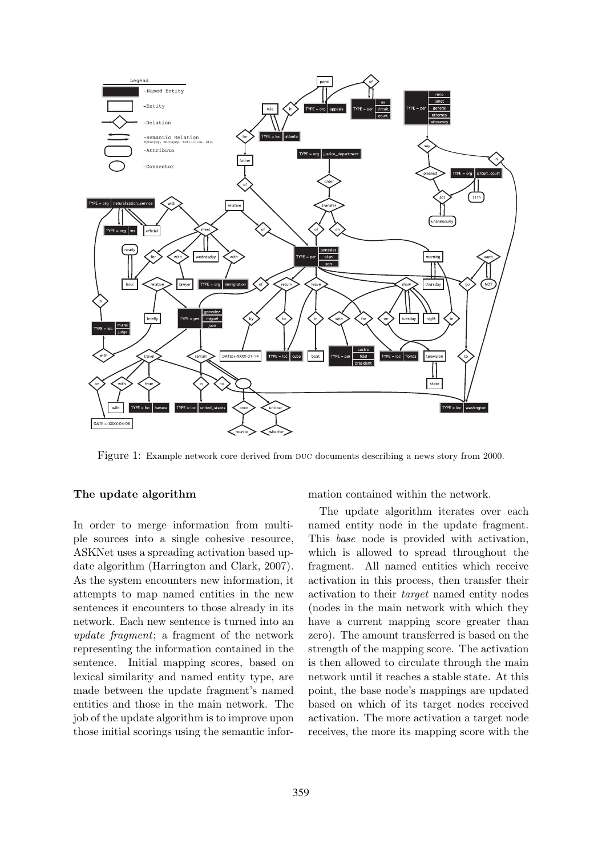

Figure 1: Example network core derived from duc documents describing a news story from 2000.

### The update algorithm

In order to merge information from multiple sources into a single cohesive resource, ASKNet uses a spreading activation based update algorithm (Harrington and Clark, 2007). As the system encounters new information, it attempts to map named entities in the new sentences it encounters to those already in its network. Each new sentence is turned into an update fragment; a fragment of the network representing the information contained in the sentence. Initial mapping scores, based on lexical similarity and named entity type, are made between the update fragment's named entities and those in the main network. The job of the update algorithm is to improve upon those initial scorings using the semantic information contained within the network.

The update algorithm iterates over each named entity node in the update fragment. This base node is provided with activation, which is allowed to spread throughout the fragment. All named entities which receive activation in this process, then transfer their activation to their target named entity nodes (nodes in the main network with which they have a current mapping score greater than zero). The amount transferred is based on the strength of the mapping score. The activation is then allowed to circulate through the main network until it reaches a stable state. At this point, the base node's mappings are updated based on which of its target nodes received activation. The more activation a target node receives, the more its mapping score with the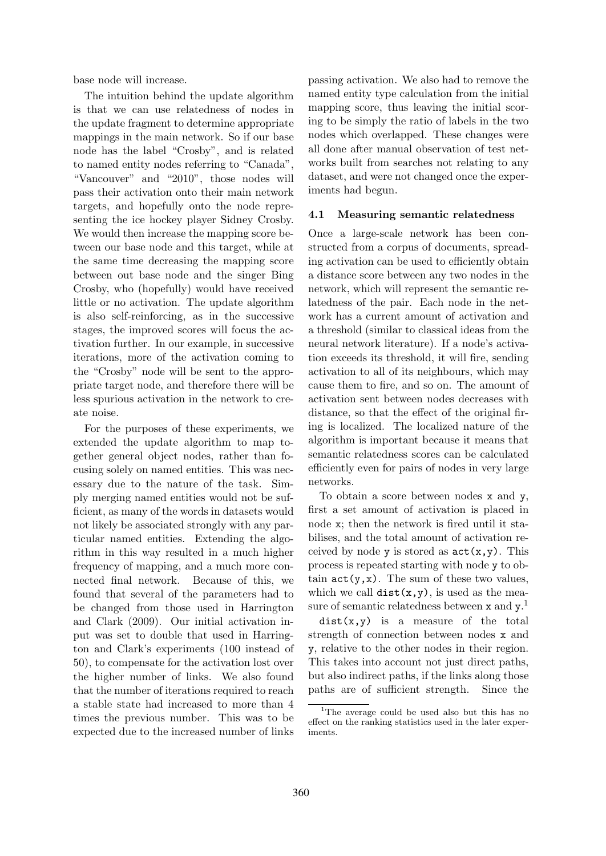base node will increase.

The intuition behind the update algorithm is that we can use relatedness of nodes in the update fragment to determine appropriate mappings in the main network. So if our base node has the label "Crosby", and is related to named entity nodes referring to "Canada", "Vancouver" and "2010", those nodes will pass their activation onto their main network targets, and hopefully onto the node representing the ice hockey player Sidney Crosby. We would then increase the mapping score between our base node and this target, while at the same time decreasing the mapping score between out base node and the singer Bing Crosby, who (hopefully) would have received little or no activation. The update algorithm is also self-reinforcing, as in the successive stages, the improved scores will focus the activation further. In our example, in successive iterations, more of the activation coming to the "Crosby" node will be sent to the appropriate target node, and therefore there will be less spurious activation in the network to create noise.

For the purposes of these experiments, we extended the update algorithm to map together general object nodes, rather than focusing solely on named entities. This was necessary due to the nature of the task. Simply merging named entities would not be sufficient, as many of the words in datasets would not likely be associated strongly with any particular named entities. Extending the algorithm in this way resulted in a much higher frequency of mapping, and a much more connected final network. Because of this, we found that several of the parameters had to be changed from those used in Harrington and Clark (2009). Our initial activation input was set to double that used in Harrington and Clark's experiments (100 instead of 50), to compensate for the activation lost over the higher number of links. We also found that the number of iterations required to reach a stable state had increased to more than 4 times the previous number. This was to be expected due to the increased number of links

passing activation. We also had to remove the named entity type calculation from the initial mapping score, thus leaving the initial scoring to be simply the ratio of labels in the two nodes which overlapped. These changes were all done after manual observation of test networks built from searches not relating to any dataset, and were not changed once the experiments had begun.

#### 4.1 Measuring semantic relatedness

Once a large-scale network has been constructed from a corpus of documents, spreading activation can be used to efficiently obtain a distance score between any two nodes in the network, which will represent the semantic relatedness of the pair. Each node in the network has a current amount of activation and a threshold (similar to classical ideas from the neural network literature). If a node's activation exceeds its threshold, it will fire, sending activation to all of its neighbours, which may cause them to fire, and so on. The amount of activation sent between nodes decreases with distance, so that the effect of the original firing is localized. The localized nature of the algorithm is important because it means that semantic relatedness scores can be calculated efficiently even for pairs of nodes in very large networks.

To obtain a score between nodes x and y, first a set amount of activation is placed in node x; then the network is fired until it stabilises, and the total amount of activation received by node y is stored as  $act(x,y)$ . This process is repeated starting with node y to obtain  $\texttt{act}(y, x)$ . The sum of these two values, which we call  $dist(x,y)$ , is used as the measure of semantic relatedness between x and y.<sup>1</sup>

 $dist(x,y)$  is a measure of the total strength of connection between nodes x and y, relative to the other nodes in their region. This takes into account not just direct paths, but also indirect paths, if the links along those paths are of sufficient strength. Since the

<sup>&</sup>lt;sup>1</sup>The average could be used also but this has no effect on the ranking statistics used in the later experiments.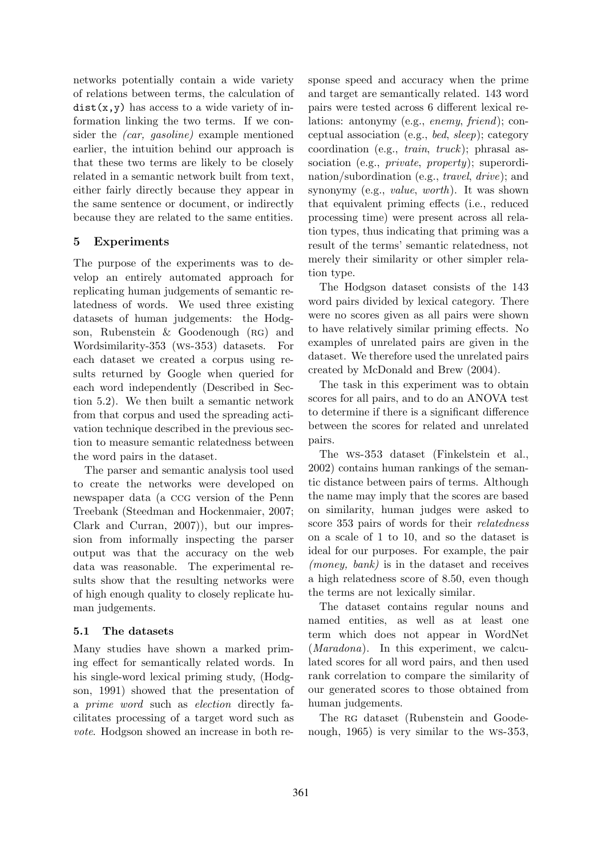networks potentially contain a wide variety of relations between terms, the calculation of  $dist(x, y)$  has access to a wide variety of information linking the two terms. If we consider the (car, gasoline) example mentioned earlier, the intuition behind our approach is that these two terms are likely to be closely related in a semantic network built from text, either fairly directly because they appear in the same sentence or document, or indirectly because they are related to the same entities.

## 5 Experiments

The purpose of the experiments was to develop an entirely automated approach for replicating human judgements of semantic relatedness of words. We used three existing datasets of human judgements: the Hodgson, Rubenstein & Goodenough (RG) and Wordsimilarity-353 (ws-353) datasets. For each dataset we created a corpus using results returned by Google when queried for each word independently (Described in Section 5.2). We then built a semantic network from that corpus and used the spreading activation technique described in the previous section to measure semantic relatedness between the word pairs in the dataset.

The parser and semantic analysis tool used to create the networks were developed on newspaper data (a ccg version of the Penn Treebank (Steedman and Hockenmaier, 2007; Clark and Curran, 2007)), but our impression from informally inspecting the parser output was that the accuracy on the web data was reasonable. The experimental results show that the resulting networks were of high enough quality to closely replicate human judgements.

### 5.1 The datasets

Many studies have shown a marked priming effect for semantically related words. In his single-word lexical priming study, (Hodgson, 1991) showed that the presentation of a prime word such as election directly facilitates processing of a target word such as vote. Hodgson showed an increase in both response speed and accuracy when the prime and target are semantically related. 143 word pairs were tested across 6 different lexical relations: antonymy (e.g., enemy, friend); conceptual association (e.g., bed, sleep); category coordination (e.g., train, truck); phrasal association (e.g., *private*, *property*); superordination/subordination (e.g., travel, drive); and synonymy (e.g., value, worth). It was shown that equivalent priming effects (i.e., reduced processing time) were present across all relation types, thus indicating that priming was a result of the terms' semantic relatedness, not merely their similarity or other simpler relation type.

The Hodgson dataset consists of the 143 word pairs divided by lexical category. There were no scores given as all pairs were shown to have relatively similar priming effects. No examples of unrelated pairs are given in the dataset. We therefore used the unrelated pairs created by McDonald and Brew (2004).

The task in this experiment was to obtain scores for all pairs, and to do an ANOVA test to determine if there is a significant difference between the scores for related and unrelated pairs.

The ws-353 dataset (Finkelstein et al., 2002) contains human rankings of the semantic distance between pairs of terms. Although the name may imply that the scores are based on similarity, human judges were asked to score 353 pairs of words for their relatedness on a scale of 1 to 10, and so the dataset is ideal for our purposes. For example, the pair (money, bank) is in the dataset and receives a high relatedness score of 8.50, even though the terms are not lexically similar.

The dataset contains regular nouns and named entities, as well as at least one term which does not appear in WordNet (Maradona). In this experiment, we calculated scores for all word pairs, and then used rank correlation to compare the similarity of our generated scores to those obtained from human judgements.

The RG dataset (Rubenstein and Goodenough, 1965) is very similar to the ws-353,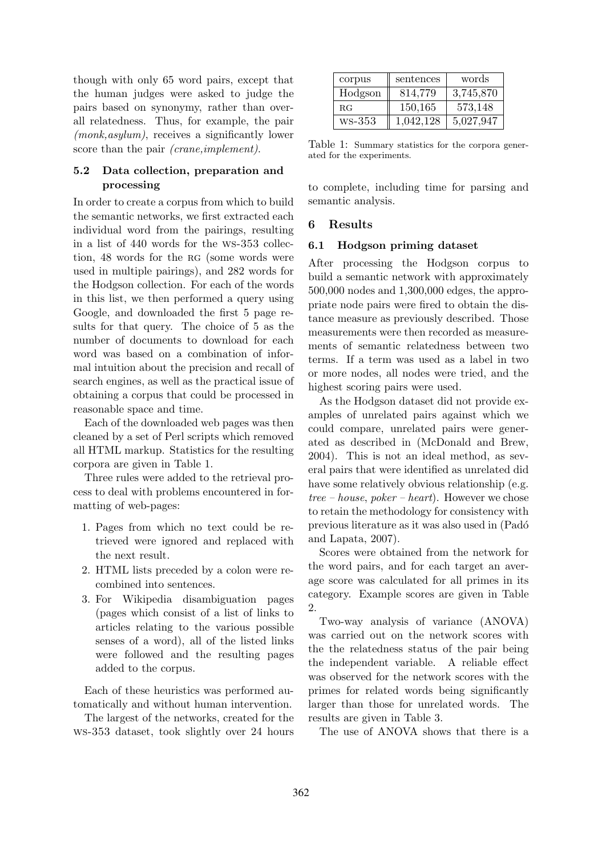though with only 65 word pairs, except that the human judges were asked to judge the pairs based on synonymy, rather than overall relatedness. Thus, for example, the pair (monk,asylum), receives a significantly lower score than the pair *(crane,implement)*.

### 5.2 Data collection, preparation and processing

In order to create a corpus from which to build the semantic networks, we first extracted each individual word from the pairings, resulting in a list of 440 words for the ws-353 collection, 48 words for the RG (some words were used in multiple pairings), and 282 words for the Hodgson collection. For each of the words in this list, we then performed a query using Google, and downloaded the first 5 page results for that query. The choice of 5 as the number of documents to download for each word was based on a combination of informal intuition about the precision and recall of search engines, as well as the practical issue of obtaining a corpus that could be processed in reasonable space and time.

Each of the downloaded web pages was then cleaned by a set of Perl scripts which removed all HTML markup. Statistics for the resulting corpora are given in Table 1.

Three rules were added to the retrieval process to deal with problems encountered in formatting of web-pages:

- 1. Pages from which no text could be retrieved were ignored and replaced with the next result.
- 2. HTML lists preceded by a colon were recombined into sentences.
- 3. For Wikipedia disambiguation pages (pages which consist of a list of links to articles relating to the various possible senses of a word), all of the listed links were followed and the resulting pages added to the corpus.

Each of these heuristics was performed automatically and without human intervention.

The largest of the networks, created for the ws-353 dataset, took slightly over 24 hours

| corpus  | sentences | words     |
|---------|-----------|-----------|
| Hodgson | 814,779   | 3,745,870 |
| RG      | 150,165   | 573,148   |
| ws-353  | 1,042,128 | 5,027,947 |

Table 1: Summary statistics for the corpora generated for the experiments.

to complete, including time for parsing and semantic analysis.

### 6 Results

#### 6.1 Hodgson priming dataset

After processing the Hodgson corpus to build a semantic network with approximately 500,000 nodes and 1,300,000 edges, the appropriate node pairs were fired to obtain the distance measure as previously described. Those measurements were then recorded as measurements of semantic relatedness between two terms. If a term was used as a label in two or more nodes, all nodes were tried, and the highest scoring pairs were used.

As the Hodgson dataset did not provide examples of unrelated pairs against which we could compare, unrelated pairs were generated as described in (McDonald and Brew, 2004). This is not an ideal method, as several pairs that were identified as unrelated did have some relatively obvious relationship (e.g. tree – house, poker – heart). However we chose to retain the methodology for consistency with previous literature as it was also used in (Pad´o and Lapata, 2007).

Scores were obtained from the network for the word pairs, and for each target an average score was calculated for all primes in its category. Example scores are given in Table 2.

Two-way analysis of variance (ANOVA) was carried out on the network scores with the the relatedness status of the pair being the independent variable. A reliable effect was observed for the network scores with the primes for related words being significantly larger than those for unrelated words. The results are given in Table 3.

The use of ANOVA shows that there is a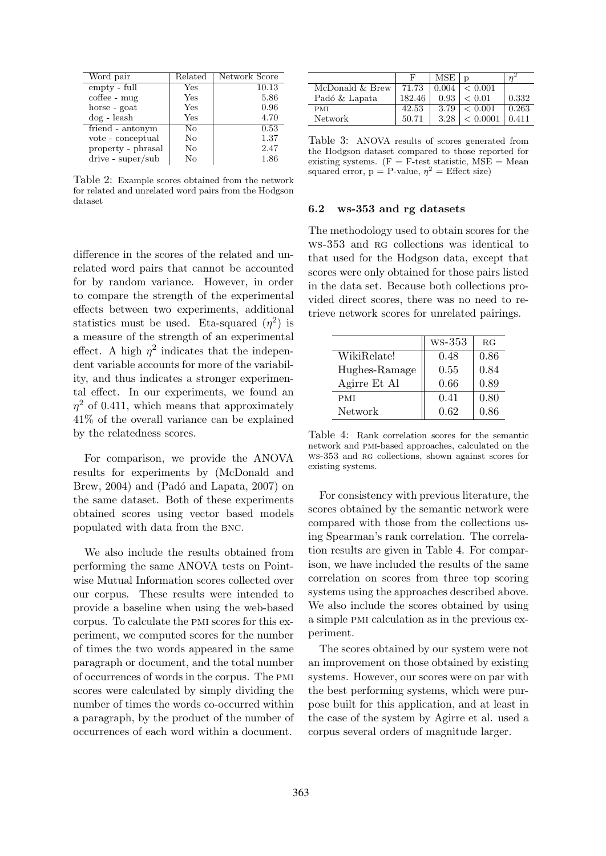| Word pair                           | Related        | Network Score |
|-------------------------------------|----------------|---------------|
| empty - full                        | Yes            | 10.13         |
| $\mathrm{cof}$ fee - $\mathrm{mug}$ | Yes            | 5.86          |
| horse - goat                        | Yes            | 0.96          |
| $\log$ - leash                      | Yes            | 4.70          |
| friend - antonym                    | N <sub>0</sub> | 0.53          |
| vote - conceptual                   | No             | 1.37          |
| property - phrasal                  | No             | 2.47          |
| $drive - super/sub$                 | No             | 1.86          |

Table 2: Example scores obtained from the network for related and unrelated word pairs from the Hodgson dataset

difference in the scores of the related and unrelated word pairs that cannot be accounted for by random variance. However, in order to compare the strength of the experimental effects between two experiments, additional statistics must be used. Eta-squared  $(\eta^2)$  is a measure of the strength of an experimental effect. A high  $\eta^2$  indicates that the independent variable accounts for more of the variability, and thus indicates a stronger experimental effect. In our experiments, we found an  $\eta^2$  of 0.411, which means that approximately 41% of the overall variance can be explained by the relatedness scores.

For comparison, we provide the ANOVA results for experiments by (McDonald and Brew,  $2004$ ) and (Padó and Lapata,  $2007$ ) on the same dataset. Both of these experiments obtained scores using vector based models populated with data from the bnc.

We also include the results obtained from performing the same ANOVA tests on Pointwise Mutual Information scores collected over our corpus. These results were intended to provide a baseline when using the web-based corpus. To calculate the pmi scores for this experiment, we computed scores for the number of times the two words appeared in the same paragraph or document, and the total number of occurrences of words in the corpus. The pmi scores were calculated by simply dividing the number of times the words co-occurred within a paragraph, by the product of the number of occurrences of each word within a document.

|                 | F      | <b>MSE</b> | D          |       |
|-----------------|--------|------------|------------|-------|
| McDonald & Brew | 71.73  | 0.004      | < 0.001    |       |
| Padó & Lapata   | 182.46 | 0.93       | ${}< 0.01$ | 0.332 |
| <b>PMI</b>      | 42.53  | 3.79       | < 0.001    | 0.263 |
| Network         | 50.71  | 3.28       | < 0.0001   | 0.411 |

Table 3: ANOVA results of scores generated from the Hodgson dataset compared to those reported for existing systems.  $(F = F-test$  statistic,  $MSE = Mean$ squared error,  $p = P$ -value,  $\eta^2 =$  Effect size)

#### 6.2 ws-353 and rg datasets

The methodology used to obtain scores for the ws-353 and rg collections was identical to that used for the Hodgson data, except that scores were only obtained for those pairs listed in the data set. Because both collections provided direct scores, there was no need to retrieve network scores for unrelated pairings.

|               | $WS-353$ | RG   |
|---------------|----------|------|
| WikiRelate!   | 0.48     | 0.86 |
| Hughes-Ramage | 0.55     | 0.84 |
| Agirre Et Al  | 0.66     | 0.89 |
| PMI           | 0.41     | 0.80 |
| Network       | 0.62     | 0.86 |

Table 4: Rank correlation scores for the semantic network and pmi-based approaches, calculated on the ws-353 and RG collections, shown against scores for existing systems.

For consistency with previous literature, the scores obtained by the semantic network were compared with those from the collections using Spearman's rank correlation. The correlation results are given in Table 4. For comparison, we have included the results of the same correlation on scores from three top scoring systems using the approaches described above. We also include the scores obtained by using a simple pmi calculation as in the previous experiment.

The scores obtained by our system were not an improvement on those obtained by existing systems. However, our scores were on par with the best performing systems, which were purpose built for this application, and at least in the case of the system by Agirre et al. used a corpus several orders of magnitude larger.